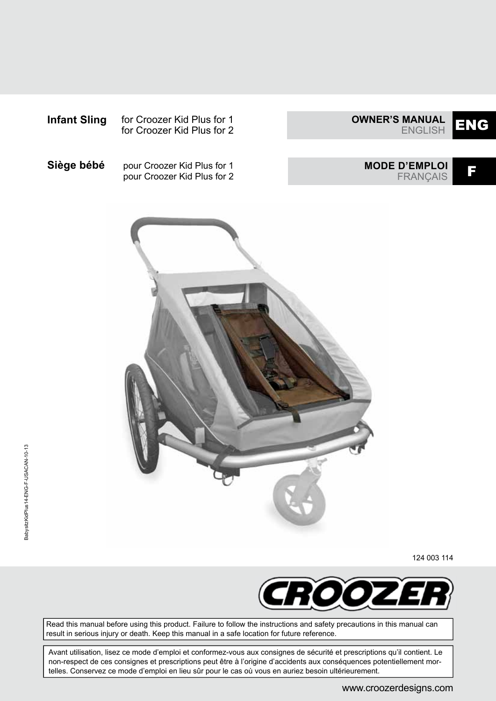| <b>Infant Sling</b> for Croozer Kid Plus for 1<br>for Croozer Kid Plus for 2 |
|------------------------------------------------------------------------------|
|                                                                              |

pour Croozer Kid Plus for 1 pour Croozer Kid Plus for 2 **Siège bébé**



**OWNER'S MANUAL** 

FRANÇAIS

ENG



124 003 114



Read this manual before using this product. Failure to follow the instructions and safety precautions in this manual can result in serious injury or death. Keep this manual in a safe location for future reference.

telles. Conservez ce mode d'emploi en lieu sûr pour le cas où vous en auriez besoin ultérieurement. Avant utilisation, lisez ce mode d'emploi et conformez-vous aux consignes de sécurité et prescriptions qu'il contient. Le non-respect de ces consignes et prescriptions peut être à l'origine d'accidents aux conséquences potentiellement mor-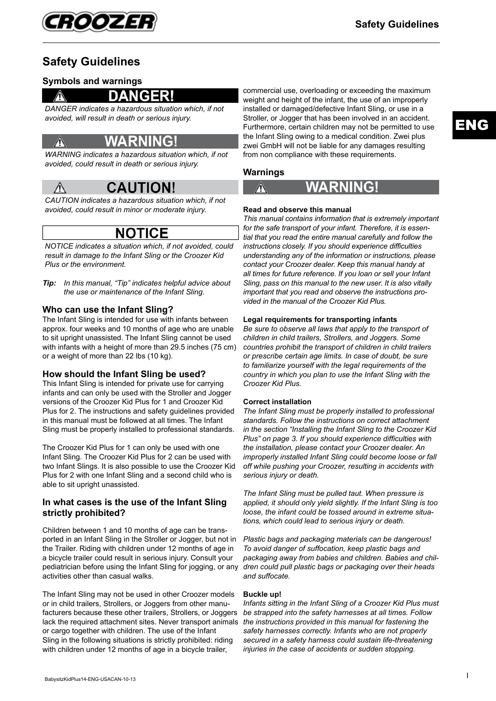

# **Safety Guidelines**

#### **Symbols and warnings**



 $\sqrt{N}$ 

 $\bigwedge$ 

**DANGER!** 

*DANGER indicates a hazardous situation which, if not avoided, will result in death or serious injury.*

# **ARNING!**

*WARNING indicates a hazardous situation which, if not avoided, could result in death or serious injury.*

# **CAUTION!**

*CAUTION indicates a hazardous situation which, if not avoided, could result in minor or moderate injury.*

# **NOTICE**

*NOTICE indicates a situation which, if not avoided, could result in damage to the Infant Sling or the Croozer Kid Plus or the environment.*

*Tip: In this manual, "Tip" indicates helpful advice about the use or maintenance of the Infant Sling.* 

#### **Who can use the Infant Sling?**

The Infant Sling is intended for use with infants between approx. four weeks and 10 months of age who are unable to sit upright unassisted. The Infant Sling cannot be used with infants with a height of more than 29.5 inches (75 cm) or a weight of more than 22 lbs (10 kg).

#### **How should the Infant Sling be used?**

This Infant Sling is intended for private use for carrying infants and can only be used with the Stroller and Jogger versions of the Croozer Kid Plus for 1 and Croozer Kid Plus for 2. The instructions and safety guidelines provided in this manual must be followed at all times. The Infant Sling must be properly installed to professional standards.

The Croozer Kid Plus for 1 can only be used with one Infant Sling. The Croozer Kid Plus for 2 can be used with two Infant Slings. It is also possible to use the Croozer Kid Plus for 2 with one Infant Sling and a second child who is able to sit upright unassisted.

#### **In what cases is the use of the Infant Sling strictly prohibited?**

Children between 1 and 10 months of age can be transported in an Infant Sling in the Stroller or Jogger, but not in the Trailer. Riding with children under 12 months of age in a bicycle trailer could result in serious injury. Consult your pediatrician before using the Infant Sling for jogging, or any activities other than casual walks.

The Infant Sling may not be used in other Croozer models or in child trailers, Strollers, or Joggers from other manufacturers because these other trailers, Strollers, or Joggers lack the required attachment sites. Never transport animals or cargo together with children. The use of the Infant Sling in the following situations is strictly prohibited: riding with children under 12 months of age in a bicycle trailer,

commercial use, overloading or exceeding the maximum weight and height of the infant, the use of an improperly installed or damaged/defective Infant Sling, or use in a Stroller, or Jogger that has been involved in an accident. Furthermore, certain children may not be permitted to use the Infant Sling owing to a medical condition. Zwei plus zwei GmbH will not be liable for any damages resulting from non compliance with these requirements.

#### **Warnings**

# **WARNING!**

#### **Read and observe this manual**

*This manual contains information that is extremely important for the safe transport of your infant. Therefore, it is essential that you read the entire manual carefully and follow the instructions closely. If you should experience difficulties understanding any of the information or instructions, please contact your Croozer dealer. Keep this manual handy at all times for future reference. If you loan or sell your Infant Sling, pass on this manual to the new user. It is also vitally important that you read and observe the instructions provided in the manual of the Croozer Kid Plus.*

#### **Legal requirements for transporting infants**

*Be sure to observe all laws that apply to the transport of children in child trailers, Strollers, and Joggers. Some countries prohibit the transport of children in child trailers or prescribe certain age limits. In case of doubt, be sure to familiarize yourself with the legal requirements of the country in which you plan to use the Infant Sling with the Croozer Kid Plus.* 

#### **Correct installation**

*The Infant Sling must be properly installed to professional standards. Follow the instructions on correct attachment in the section "Installing the Infant Sling to the Croozer Kid Plus" on page 3. If you should experience difficulties with the installation, please contact your Croozer dealer. An improperly installed Infant Sling could become loose or fall off while pushing your Croozer, resulting in accidents with serious injury or death.*

*The Infant Sling must be pulled taut. When pressure is applied, it should only yield slightly. If the Infant Sling is too loose, the infant could be tossed around in extreme situations, which could lead to serious injury or death.*

*Plastic bags and packaging materials can be dangerous! To avoid danger of suffocation, keep plastic bags and packaging away from babies and children. Babies and children could pull plastic bags or packaging over their heads and suffocate.*

#### **Buckle up!**

*Infants sitting in the Infant Sling of a Croozer Kid Plus must be strapped into the safety harnesses at all times. Follow the instructions provided in this manual for fastening the safety harnesses correctly. Infants who are not properly secured in a safety harness could sustain life-threatening injuries in the case of accidents or sudden stopping.*

# ENG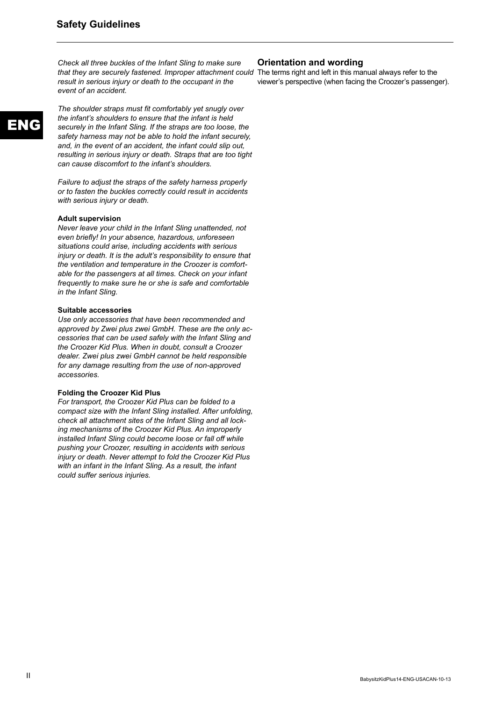*Check all three buckles of the Infant Sling to make sure that they are securely fastened. Improper attachment could result in serious injury or death to the occupant in the event of an accident.*

*The shoulder straps must fit comfortably yet snugly over the infant's shoulders to ensure that the infant is held securely in the Infant Sling. If the straps are too loose, the safety harness may not be able to hold the infant securely, and, in the event of an accident, the infant could slip out, resulting in serious injury or death. Straps that are too tight can cause discomfort to the infant's shoulders.*

*Failure to adjust the straps of the safety harness properly or to fasten the buckles correctly could result in accidents with serious injury or death.*

#### **Adult supervision**

ENG

*Never leave your child in the Infant Sling unattended, not even briefly! In your absence, hazardous, unforeseen situations could arise, including accidents with serious injury or death. It is the adult's responsibility to ensure that the ventilation and temperature in the Croozer is comfortable for the passengers at all times. Check on your infant frequently to make sure he or she is safe and comfortable in the Infant Sling.*

#### **Suitable accessories**

*Use only accessories that have been recommended and approved by Zwei plus zwei GmbH. These are the only accessories that can be used safely with the Infant Sling and the Croozer Kid Plus. When in doubt, consult a Croozer dealer. Zwei plus zwei GmbH cannot be held responsible for any damage resulting from the use of non-approved accessories.* 

#### **Folding the Croozer Kid Plus**

*For transport, the Croozer Kid Plus can be folded to a compact size with the Infant Sling installed. After unfolding, check all attachment sites of the Infant Sling and all locking mechanisms of the Croozer Kid Plus. An improperly installed Infant Sling could become loose or fall off while pushing your Croozer, resulting in accidents with serious injury or death. Never attempt to fold the Croozer Kid Plus with an infant in the Infant Sling. As a result, the infant could suffer serious injuries.*

#### **Orientation and wording**

The terms right and left in this manual always refer to the viewer's perspective (when facing the Croozer's passenger).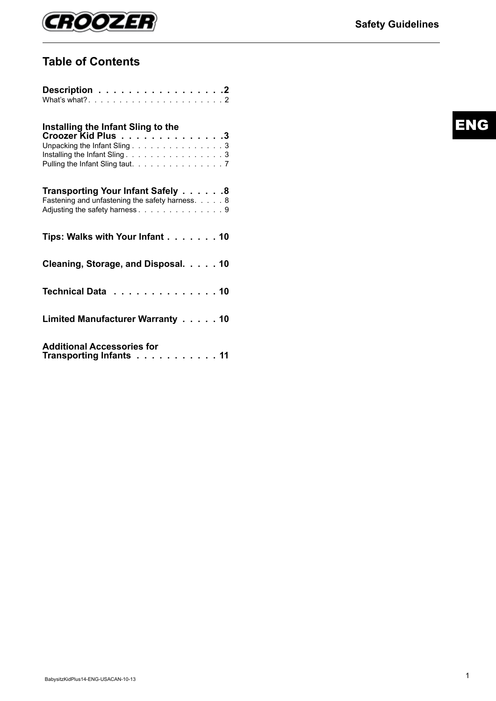

# **Table of Contents**

| Description 2                                                                                                                                                   |
|-----------------------------------------------------------------------------------------------------------------------------------------------------------------|
| Installing the Infant Sling to the<br>Croozer Kid Plus 3<br>Unpacking the Infant Sling. 3<br>Installing the Infant Sling. 3<br>Pulling the Infant Sling taut. 7 |
| Transporting Your Infant Safely 8<br>Fastening and unfastening the safety harness. 8<br>Adjusting the safety harness 9                                          |
| Tips: Walks with Your Infant 10                                                                                                                                 |
| Cleaning, Storage, and Disposal. 10                                                                                                                             |
| Technical Data 10                                                                                                                                               |
| Limited Manufacturer Warranty 10                                                                                                                                |
| <b>Additional Accessories for</b><br>Transporting Infants 11                                                                                                    |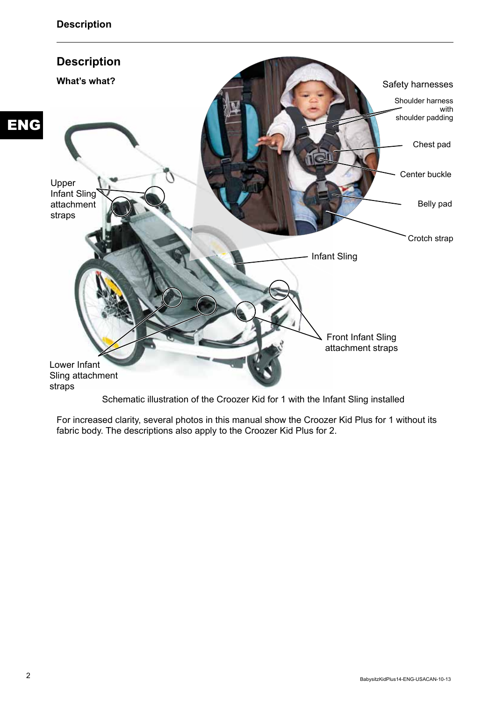

Schematic illustration of the Croozer Kid for 1 with the Infant Sling installed

For increased clarity, several photos in this manual show the Croozer Kid Plus for 1 without its fabric body. The descriptions also apply to the Croozer Kid Plus for 2.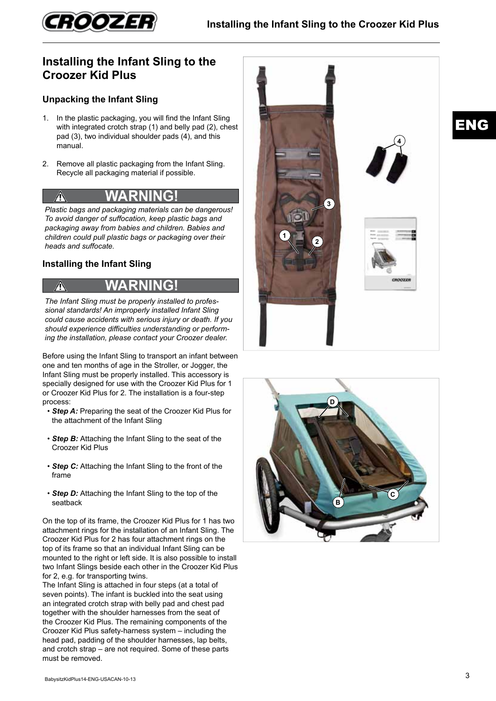

# **Installing the Infant Sling to the Croozer Kid Plus**

### **Unpacking the Infant Sling**

- 1. In the plastic packaging, you will find the Infant Sling with integrated crotch strap (1) and belly pad (2), chest pad (3), two individual shoulder pads (4), and this manual.
- 2. Remove all plastic packaging from the Infant Sling. Recycle all packaging material if possible.

*Plastic bags and packaging materials can be dangerous! To avoid danger of suffocation, keep plastic bags and packaging away from babies and children. Babies and children could pull plastic bags or packaging over their heads and suffocate.*

### **Installing the Infant Sling**

/!\

*The Infant Sling must be properly installed to professional standards! An improperly installed Infant Sling could cause accidents with serious injury or death. If you should experience difficulties understanding or performing the installation, please contact your Croozer dealer.*

Before using the Infant Sling to transport an infant between one and ten months of age in the Stroller, or Jogger, the Infant Sling must be properly installed. This accessory is specially designed for use with the Croozer Kid Plus for 1 or Croozer Kid Plus for 2. The installation is a four-step process:

- *Step A:* Preparing the seat of the Croozer Kid Plus for the attachment of the Infant Sling
- *Step B:* Attaching the Infant Sling to the seat of the Croozer Kid Plus
- *Step C:* Attaching the Infant Sling to the front of the frame
- *Step D:* Attaching the Infant Sling to the top of the seatback

On the top of its frame, the Croozer Kid Plus for 1 has two attachment rings for the installation of an Infant Sling. The Croozer Kid Plus for 2 has four attachment rings on the top of its frame so that an individual Infant Sling can be mounted to the right or left side. It is also possible to install two Infant Slings beside each other in the Croozer Kid Plus for 2, e.g. for transporting twins.

The Infant Sling is attached in four steps (at a total of seven points). The infant is buckled into the seat using an integrated crotch strap with belly pad and chest pad together with the shoulder harnesses from the seat of the Croozer Kid Plus. The remaining components of the Croozer Kid Plus safety-harness system – including the head pad, padding of the shoulder harnesses, lap belts, and crotch strap – are not required. Some of these parts must be removed.





# ENG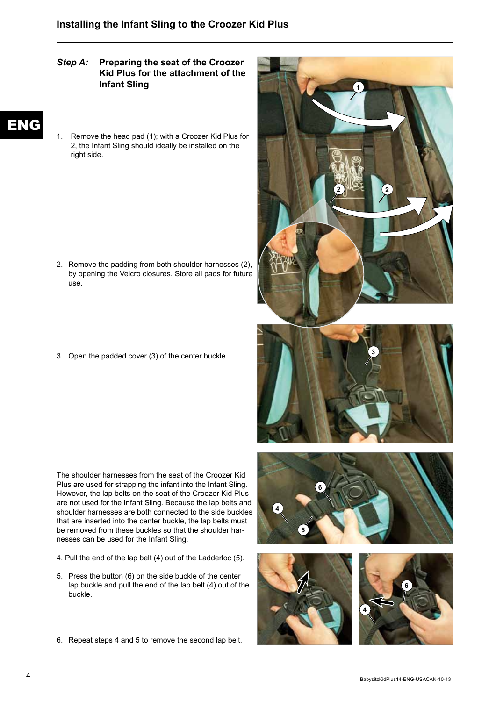#### *Step A:* **Preparing the seat of the Croozer Kid Plus for the attachment of the Infant Sling**

# ENG

1. Remove the head pad (1); with a Croozer Kid Plus for 2, the Infant Sling should ideally be installed on the right side.

- 2. Remove the padding from both shoulder harnesses (2), by opening the Velcro closures. Store all pads for future use.
- 3. Open the padded cover (3) of the center buckle.

The shoulder harnesses from the seat of the Croozer Kid Plus are used for strapping the infant into the Infant Sling. However, the lap belts on the seat of the Croozer Kid Plus are not used for the Infant Sling. Because the lap belts and shoulder harnesses are both connected to the side buckles that are inserted into the center buckle, the lap belts must be removed from these buckles so that the shoulder harnesses can be used for the Infant Sling.

- 4. Pull the end of the lap belt (4) out of the Ladderloc (5).
- 5. Press the button (6) on the side buckle of the center lap buckle and pull the end of the lap belt (4) out of the buckle.
- 6. Repeat steps 4 and 5 to remove the second lap belt.

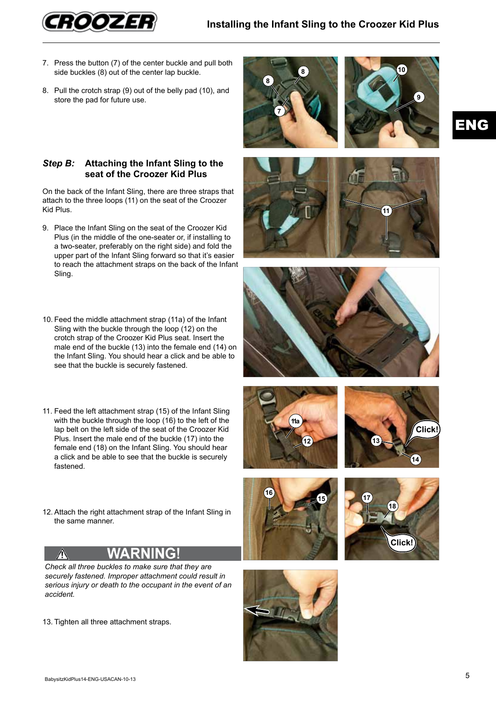

- 7. Press the button (7) of the center buckle and pull both side buckles (8) out of the center lap buckle.
- 8. Pull the crotch strap (9) out of the belly pad (10), and store the pad for future use.

#### *Step B:* **Attaching the Infant Sling to the seat of the Croozer Kid Plus**

On the back of the Infant Sling, there are three straps that attach to the three loops (11) on the seat of the Croozer Kid Plus.

- 9. Place the Infant Sling on the seat of the Croozer Kid Plus (in the middle of the one-seater or, if installing to a two-seater, preferably on the right side) and fold the upper part of the Infant Sling forward so that it's easier to reach the attachment straps on the back of the Infant Sling.
- 10. Feed the middle attachment strap (11a) of the Infant Sling with the buckle through the loop (12) on the crotch strap of the Croozer Kid Plus seat. Insert the male end of the buckle (13) into the female end (14) on the Infant Sling. You should hear a click and be able to see that the buckle is securely fastened.
- 11. Feed the left attachment strap (15) of the Infant Sling with the buckle through the loop (16) to the left of the lap belt on the left side of the seat of the Croozer Kid Plus. Insert the male end of the buckle (17) into the female end (18) on the Infant Sling. You should hear a click and be able to see that the buckle is securely fastened.
- 12. Attach the right attachment strap of the Infant Sling in the same manner.

# **WARNING!**

*Check all three buckles to make sure that they are securely fastened. Improper attachment could result in serious injury or death to the occupant in the event of an accident.*

13. Tighten all three attachment straps.























 $\mathbb{A}$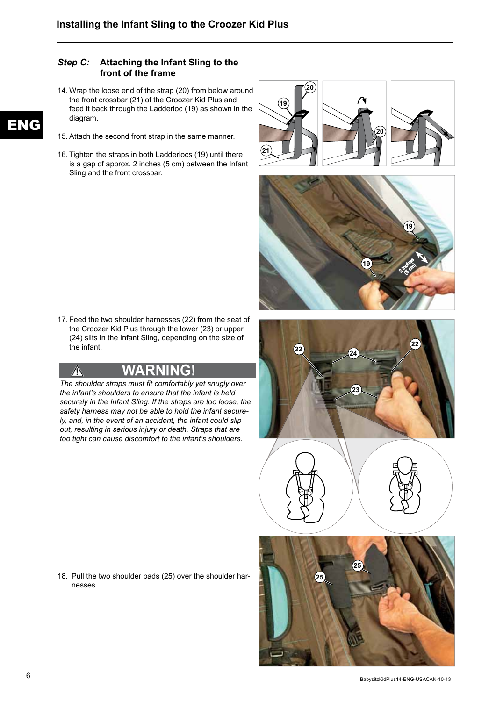#### *Step C:* **Attaching the Infant Sling to the front of the frame**

- 14. Wrap the loose end of the strap (20) from below around the front crossbar (21) of the Croozer Kid Plus and feed it back through the Ladderloc (19) as shown in the diagram.
- 15. Attach the second front strap in the same manner.
- 16. Tighten the straps in both Ladderlocs (19) until there is a gap of approx. 2 inches (5 cm) between the Infant Sling and the front crossbar.





17. Feed the two shoulder harnesses (22) from the seat of the Croozer Kid Plus through the lower (23) or upper (24) slits in the Infant Sling, depending on the size of the infant.

# **WARNING!**

 $\bigwedge$ 

*The shoulder straps must fit comfortably yet snugly over the infant's shoulders to ensure that the infant is held securely in the Infant Sling. If the straps are too loose, the safety harness may not be able to hold the infant securely, and, in the event of an accident, the infant could slip out, resulting in serious injury or death. Straps that are too tight can cause discomfort to the infant's shoulders.*







18. Pull the two shoulder pads (25) over the shoulder harnesses.

ENG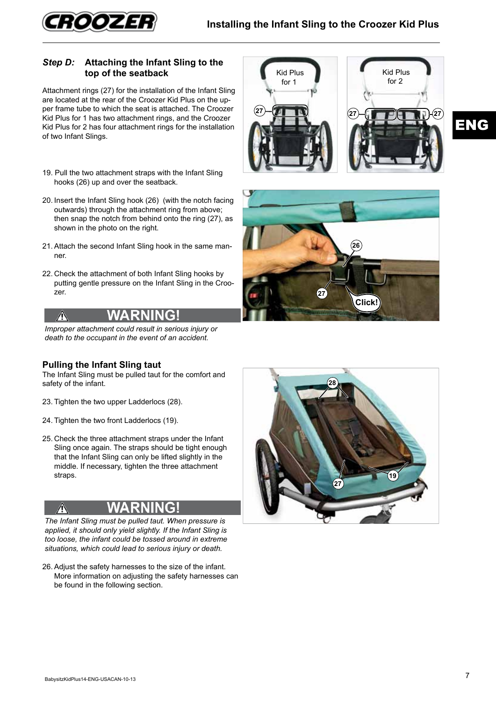

#### *Step D:* **Attaching the Infant Sling to the top of the seatback**

Attachment rings (27) for the installation of the Infant Sling are located at the rear of the Croozer Kid Plus on the upper frame tube to which the seat is attached. The Croozer Kid Plus for 1 has two attachment rings, and the Croozer Kid Plus for 2 has four attachment rings for the installation of two Infant Slings.

- 19. Pull the two attachment straps with the Infant Sling hooks (26) up and over the seatback.
- 20. Insert the Infant Sling hook (26) (with the notch facing outwards) through the attachment ring from above; then snap the notch from behind onto the ring (27), as shown in the photo on the right.
- 21. Attach the second Infant Sling hook in the same manner.
- 22. Check the attachment of both Infant Sling hooks by putting gentle pressure on the Infant Sling in the Croozer.

# NC

*Improper attachment could result in serious injury or death to the occupant in the event of an accident.*

#### **Pulling the Infant Sling taut**

 $\bigwedge$ 

The Infant Sling must be pulled taut for the comfort and safety of the infant.

- 23. Tighten the two upper Ladderlocs (28).
- 24. Tighten the two front Ladderlocs (19).
- 25. Check the three attachment straps under the Infant Sling once again. The straps should be tight enough that the Infant Sling can only be lifted slightly in the middle. If necessary, tighten the three attachment straps.

*The Infant Sling must be pulled taut. When pressure is applied, it should only yield slightly. If the Infant Sling is too loose, the infant could be tossed around in extreme situations, which could lead to serious injury or death.*

26. Adjust the safety harnesses to the size of the infant. More information on adjusting the safety harnesses can be found in the following section.





**26**

**Click!**

**27**





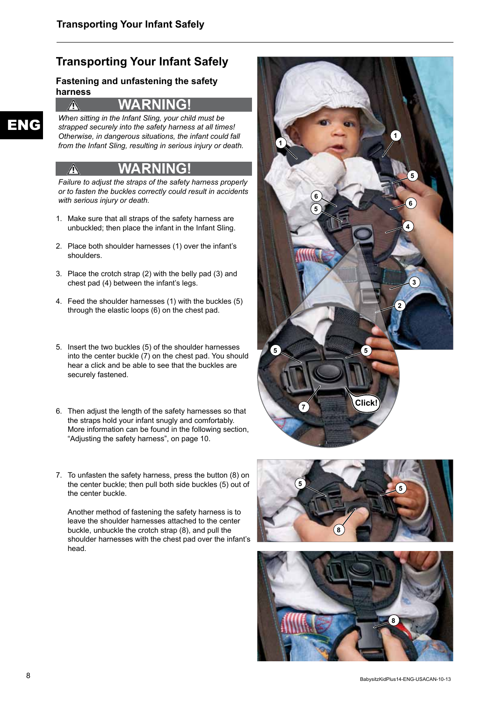# **Transporting Your Infant Safely**

#### **Fastening and unfastening the safety harness**

*When sitting in the Infant Sling, your child must be strapped securely into the safety harness at all times! Otherwise, in dangerous situations, the infant could fall from the Infant Sling, resulting in serious injury or death.* 

# **WARNING!**

*Failure to adjust the straps of the safety harness properly or to fasten the buckles correctly could result in accidents with serious injury or death.*

- 1. Make sure that all straps of the safety harness are unbuckled; then place the infant in the Infant Sling.
- 2. Place both shoulder harnesses (1) over the infant's shoulders.
- 3. Place the crotch strap (2) with the belly pad (3) and chest pad (4) between the infant's legs.
- 4. Feed the shoulder harnesses (1) with the buckles (5) through the elastic loops (6) on the chest pad.
- 5. Insert the two buckles (5) of the shoulder harnesses into the center buckle (7) on the chest pad. You should hear a click and be able to see that the buckles are securely fastened.
- 6. Then adjust the length of the safety harnesses so that the straps hold your infant snugly and comfortably. More information can be found in the following section, "Adjusting the safety harness", on page 10.
- 7. To unfasten the safety harness, press the button (8) on the center buckle; then pull both side buckles (5) out of the center buckle.

 Another method of fastening the safety harness is to leave the shoulder harnesses attached to the center buckle, unbuckle the crotch strap (8), and pull the shoulder harnesses with the chest pad over the infant's head.







ENG

 $\mathbb{A}$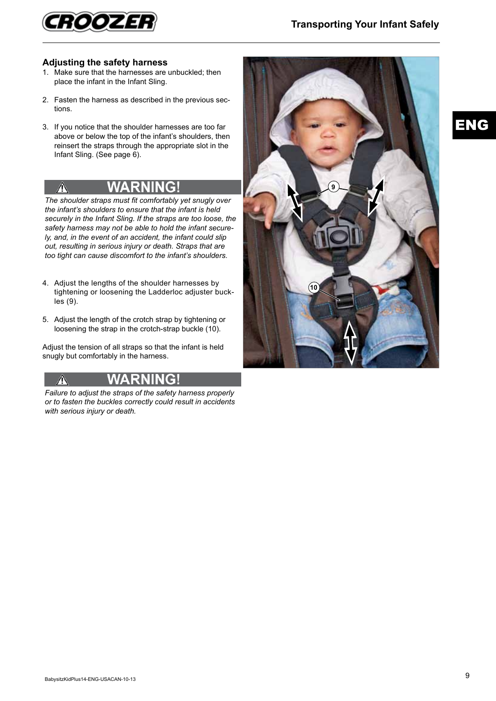

#### **Adjusting the safety harness**

 $\bigwedge$ 

- 1. Make sure that the harnesses are unbuckled; then place the infant in the Infant Sling.
- 2. Fasten the harness as described in the previous sections.
- 3. If you notice that the shoulder harnesses are too far above or below the top of the infant's shoulders, then reinsert the straps through the appropriate slot in the Infant Sling. (See page 6).

# **WARNING!**

*The shoulder straps must fit comfortably yet snugly over the infant's shoulders to ensure that the infant is held securely in the Infant Sling. If the straps are too loose, the safety harness may not be able to hold the infant securely, and, in the event of an accident, the infant could slip out, resulting in serious injury or death. Straps that are too tight can cause discomfort to the infant's shoulders.*

- 4. Adjust the lengths of the shoulder harnesses by tightening or loosening the Ladderloc adjuster buckles (9).
- 5. Adjust the length of the crotch strap by tightening or loosening the strap in the crotch-strap buckle (10).

Adjust the tension of all straps so that the infant is held snugly but comfortably in the harness.

#### **WARNING!** ⁄!\

*Failure to adjust the straps of the safety harness properly or to fasten the buckles correctly could result in accidents with serious injury or death.*



# ENG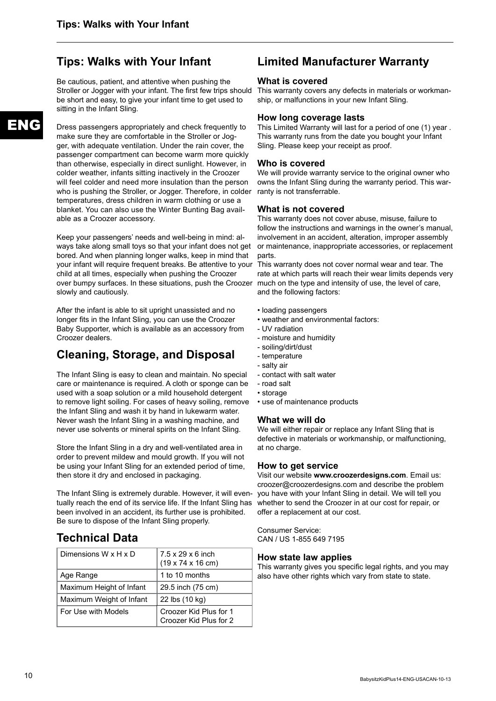# **Tips: Walks with Your Infant**

Be cautious, patient, and attentive when pushing the Stroller or Jogger with your infant. The first few trips should be short and easy, to give your infant time to get used to sitting in the Infant Sling.

Dress passengers appropriately and check frequently to make sure they are comfortable in the Stroller or Jogger, with adequate ventilation. Under the rain cover, the passenger compartment can become warm more quickly than otherwise, especially in direct sunlight. However, in colder weather, infants sitting inactively in the Croozer will feel colder and need more insulation than the person who is pushing the Stroller, or Jogger. Therefore, in colder temperatures, dress children in warm clothing or use a blanket. You can also use the Winter Bunting Bag available as a Croozer accessory.

Keep your passengers' needs and well-being in mind: always take along small toys so that your infant does not get bored. And when planning longer walks, keep in mind that your infant will require frequent breaks. Be attentive to your child at all times, especially when pushing the Croozer over bumpy surfaces. In these situations, push the Croozer slowly and cautiously.

After the infant is able to sit upright unassisted and no longer fits in the Infant Sling, you can use the Croozer Baby Supporter, which is available as an accessory from Croozer dealers.

# **Cleaning, Storage, and Disposal**

The Infant Sling is easy to clean and maintain. No special care or maintenance is required. A cloth or sponge can be used with a soap solution or a mild household detergent to remove light soiling. For cases of heavy soiling, remove the Infant Sling and wash it by hand in lukewarm water. Never wash the Infant Sling in a washing machine, and never use solvents or mineral spirits on the Infant Sling.

Store the Infant Sling in a dry and well-ventilated area in order to prevent mildew and mould growth. If you will not be using your Infant Sling for an extended period of time, then store it dry and enclosed in packaging.

The Infant Sling is extremely durable. However, it will eventually reach the end of its service life. If the Infant Sling has been involved in an accident, its further use is prohibited. Be sure to dispose of the Infant Sling properly.

# **Technical Data**

| Dimensions $W \times H \times D$ | $7.5 \times 29 \times 6$ inch<br>$(19 \times 74 \times 16 \text{ cm})$ |
|----------------------------------|------------------------------------------------------------------------|
| Age Range                        | 1 to 10 months                                                         |
| Maximum Height of Infant         | 29.5 inch (75 cm)                                                      |
| Maximum Weight of Infant         | 22 lbs (10 kg)                                                         |
| For Use with Models              | Croozer Kid Plus for 1<br>Croozer Kid Plus for 2                       |

# **Limited Manufacturer Warranty**

#### **What is covered**

This warranty covers any defects in materials or workmanship, or malfunctions in your new Infant Sling.

#### **How long coverage lasts**

This Limited Warranty will last for a period of one (1) year . This warranty runs from the date you bought your Infant Sling. Please keep your receipt as proof.

#### **Who is covered**

We will provide warranty service to the original owner who owns the Infant Sling during the warranty period. This warranty is not transferrable.

#### **What is not covered**

This warranty does not cover abuse, misuse, failure to follow the instructions and warnings in the owner's manual, involvement in an accident, alteration, improper assembly or maintenance, inappropriate accessories, or replacement parts.

This warranty does not cover normal wear and tear. The rate at which parts will reach their wear limits depends very much on the type and intensity of use, the level of care, and the following factors:

- loading passengers
- weather and environmental factors:
- UV radiation
- moisture and humidity
- soiling/dirt/dust
- temperature
- salty air
- contact with salt water
- road salt
- storage
- use of maintenance products

#### **What we will do**

We will either repair or replace any Infant Sling that is defective in materials or workmanship, or malfunctioning, at no charge.

#### **How to get service**

Visit our website **www.croozerdesigns.com**. Email us: croozer@croozerdesigns.com and describe the problem you have with your Infant Sling in detail. We will tell you whether to send the Croozer in at our cost for repair, or offer a replacement at our cost.

Consumer Service: CAN / US 1-855 649 7195

#### **How state law applies**

This warranty gives you specific legal rights, and you may also have other rights which vary from state to state.

ENG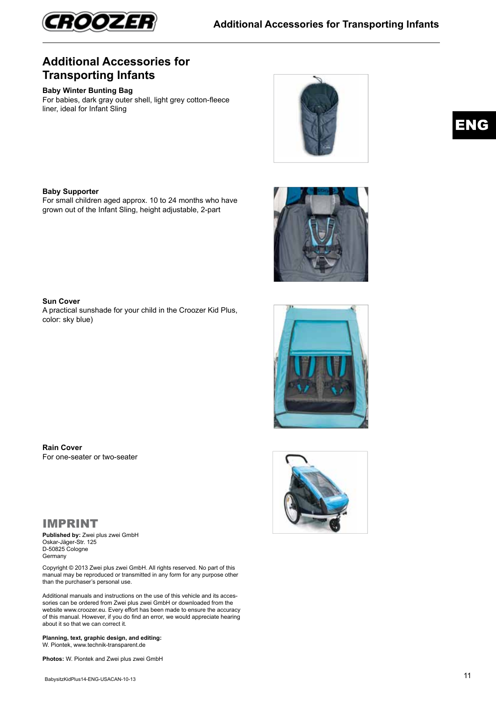

# **Additional Accessories for Transporting Infants**

#### **Baby Winter Bunting Bag**

For babies, dark gray outer shell, light grey cotton-fleece liner, ideal for Infant Sling



ENG

#### **Baby Supporter**

For small children aged approx. 10 to 24 months who have grown out of the Infant Sling, height adjustable, 2-part

#### **Sun Cover**

A practical sunshade for your child in the Croozer Kid Plus, color: sky blue)

**Rain Cover** For one-seater or two-seater

### IMPRINT

**Published by:** Zwei plus zwei GmbH Oskar-Jäger-Str. 125 D-50825 Cologne **Germany** 

Copyright © 2013 Zwei plus zwei GmbH. All rights reserved. No part of this manual may be reproduced or transmitted in any form for any purpose other than the purchaser's personal use.

Additional manuals and instructions on the use of this vehicle and its accessories can be ordered from Zwei plus zwei GmbH or downloaded from the website www.croozer.eu. Every effort has been made to ensure the accuracy of this manual. However, if you do find an error, we would appreciate hearing about it so that we can correct it.

#### **Planning, text, graphic design, and editing:**  W. Piontek, www.technik-transparent.de

**Photos:** W. Piontek and Zwei plus zwei GmbH



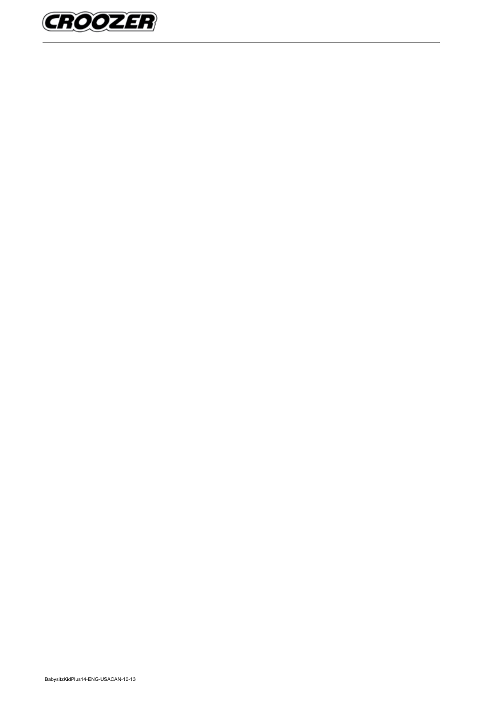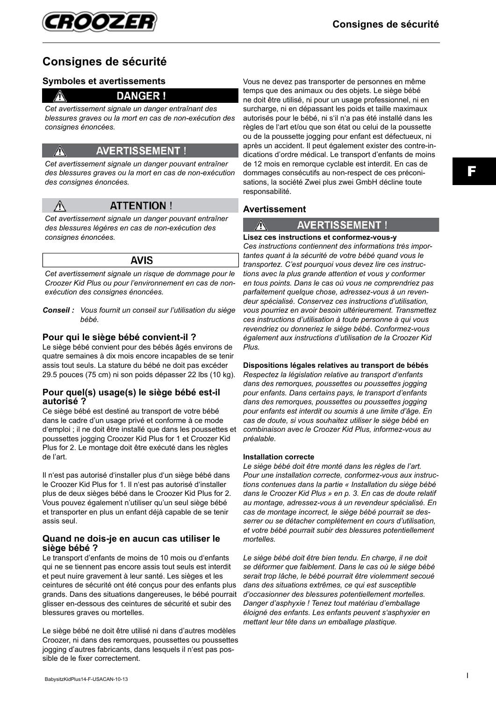

# **Consignes de sécurité**

#### **Symboles et avertissements**



*Cet avertissement signale un danger entraînant des blessures graves ou la mort en cas de non-exécution des consignes énoncées.*

### **AVERTISSEMENT!**

*Cet avertissement signale un danger pouvant entraîner des blessures graves ou la mort en cas de non-exécution des consignes énoncées.*



 $\sqrt{N}$ 

### **ATTENTION!**

*Cet avertissement signale un danger pouvant entraîner des blessures légères en cas de non-exécution des consignes énoncées.*

#### **AVIS**

*Cet avertissement signale un risque de dommage pour le Croozer Kid Plus ou pour l'environnement en cas de nonexécution des consignes énoncées.*

*Conseil : Vous fournit un conseil sur l'utilisation du siège bébé.* 

#### **Pour qui le siège bébé convient-il ?**

Le siège bébé convient pour des bébés âgés environs de quatre semaines à dix mois encore incapables de se tenir assis tout seuls. La stature du bébé ne doit pas excéder 29.5 pouces (75 cm) ni son poids dépasser 22 lbs (10 kg).

#### **Pour quel(s) usage(s) le siège bébé est-il autorisé ?**

Ce siège bébé est destiné au transport de votre bébé dans le cadre d'un usage privé et conforme à ce mode d'emploi ; il ne doit être installé que dans les poussettes et poussettes jogging Croozer Kid Plus for 1 et Croozer Kid Plus for 2. Le montage doit être exécuté dans les règles de l'art.

Il n'est pas autorisé d'installer plus d'un siège bébé dans le Croozer Kid Plus for 1. Il n'est pas autorisé d'installer plus de deux sièges bébé dans le Croozer Kid Plus for 2. Vous pouvez également n'utiliser qu'un seul siège bébé et transporter en plus un enfant déjà capable de se tenir assis seul.

#### **Quand ne dois-je en aucun cas utiliser le siège bébé ?**

Le transport d'enfants de moins de 10 mois ou d'enfants qui ne se tiennent pas encore assis tout seuls est interdit et peut nuire gravement à leur santé. Les sièges et les ceintures de sécurité ont été conçus pour des enfants plus grands. Dans des situations dangereuses, le bébé pourrait glisser en-dessous des ceintures de sécurité et subir des blessures graves ou mortelles.

Le siège bébé ne doit être utilisé ni dans d'autres modèles Croozer, ni dans des remorques, poussettes ou poussettes jogging d'autres fabricants, dans lesquels il n'est pas possible de le fixer correctement.

Vous ne devez pas transporter de personnes en même temps que des animaux ou des objets. Le siège bébé ne doit être utilisé, ni pour un usage professionnel, ni en surcharge, ni en dépassant les poids et taille maximaux autorisés pour le bébé, ni s'il n'a pas été installé dans les règles de l'art et/ou que son état ou celui de la poussette ou de la poussette jogging pour enfant est défectueux, ni après un accident. Il peut également exister des contre-indications d'ordre médical. Le transport d'enfants de moins de 12 mois en remorque cyclable est interdit. En cas de dommages consécutifs au non-respect de ces préconisations, la société Zwei plus zwei GmbH décline toute responsabilité.

#### **Avertissement**

 $\Lambda$ 

**AVERTISSEMENT!** 

**Lisez ces instructions et conformez-vous-y** *Ces instructions contiennent des informations très importantes quant à la sécurité de votre bébé quand vous le transportez. C'est pourquoi vous devez lire ces instructions avec la plus grande attention et vous y conformer en tous points. Dans le cas où vous ne comprendriez pas parfaitement quelque chose, adressez-vous à un revendeur spécialisé. Conservez ces instructions d'utilisation, vous pourriez en avoir besoin ultérieurement. Transmettez ces instructions d'utilisation à toute personne à qui vous revendriez ou donneriez le siège bébé. Conformez-vous également aux instructions d'utilisation de la Croozer Kid Plus.*

**Dispositions légales relatives au transport de bébés** *Respectez la législation relative au transport d'enfants dans des remorques, poussettes ou poussettes jogging pour enfants. Dans certains pays, le transport d'enfants dans des remorques, poussettes ou poussettes jogging pour enfants est interdit ou soumis à une limite d'âge. En cas de doute, si vous souhaitez utiliser le siège bébé en combinaison avec le Croozer Kid Plus, informez-vous au préalable.* 

#### **Installation correcte**

*Le siège bébé doit être monté dans les règles de l'art. Pour une installation correcte, conformez-vous aux instructions contenues dans la partie « Installation du siège bébé dans le Croozer Kid Plus » en p. 3. En cas de doute relatif au montage, adressez-vous à un revendeur spécialisé. En cas de montage incorrect, le siège bébé pourrait se desserrer ou se détacher complètement en cours d'utilisation, et votre bébé pourrait subir des blessures potentiellement mortelles.*

*Le siège bébé doit être bien tendu. En charge, il ne doit se déformer que faiblement. Dans le cas où le siège bébé serait trop lâche, le bébé pourrait être violemment secoué dans des situations extrêmes, ce qui est susceptible d'occasionner des blessures potentiellement mortelles. Danger d'asphyxie ! Tenez tout matériau d'emballage éloigné des enfants. Les enfants peuvent s'asphyxier en mettant leur tête dans un emballage plastique.*

F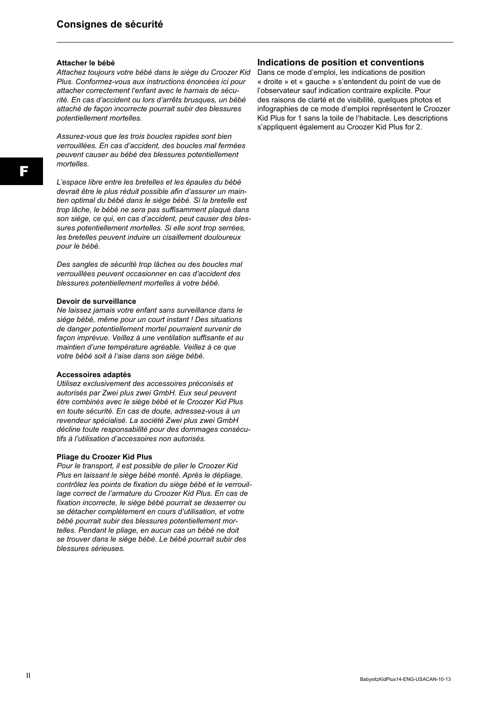#### **Attacher le bébé**

*Attachez toujours votre bébé dans le siège du Croozer Kid Plus. Conformez-vous aux instructions énoncées ici pour attacher correctement l'enfant avec le harnais de sécurité. En cas d'accident ou lors d'arrêts brusques, un bébé attaché de façon incorrecte pourrait subir des blessures potentiellement mortelles.*

*Assurez-vous que les trois boucles rapides sont bien verrouillées. En cas d'accident, des boucles mal fermées peuvent causer au bébé des blessures potentiellement mortelles.*

*L'espace libre entre les bretelles et les épaules du bébé devrait être le plus réduit possible afin d'assurer un maintien optimal du bébé dans le siège bébé. Si la bretelle est trop lâche, le bébé ne sera pas suffisamment plaqué dans son siège, ce qui, en cas d'accident, peut causer des blessures potentiellement mortelles. Si elle sont trop serrées, les bretelles peuvent induire un cisaillement douloureux pour le bébé.*

*Des sangles de sécurité trop lâches ou des boucles mal verrouillées peuvent occasionner en cas d'accident des blessures potentiellement mortelles à votre bébé.*

#### **Devoir de surveillance**

*Ne laissez jamais votre enfant sans surveillance dans le siège bébé, même pour un court instant ! Des situations de danger potentiellement mortel pourraient survenir de façon imprévue. Veillez à une ventilation suffisante et au maintien d'une température agréable. Veillez à ce que votre bébé soit à l'aise dans son siège bébé.*

#### **Accessoires adaptés**

*Utilisez exclusivement des accessoires préconisés et autorisés par Zwei plus zwei GmbH. Eux seul peuvent être combinés avec le siège bébé et le Croozer Kid Plus en toute sécurité. En cas de doute, adressez-vous à un revendeur spécialisé. La société Zwei plus zwei GmbH décline toute responsabilité pour des dommages consécutifs à l'utilisation d'accessoires non autorisés.* 

#### **Pliage du Croozer Kid Plus**

*Pour le transport, il est possible de plier le Croozer Kid Plus en laissant le siège bébé monté. Après le dépliage, contrôlez les points de fixation du siège bébé et le verrouillage correct de l'armature du Croozer Kid Plus. En cas de fixation incorrecte, le siège bébé pourrait se desserrer ou se détacher complètement en cours d'utilisation, et votre bébé pourrait subir des blessures potentiellement mortelles. Pendant le pliage, en aucun cas un bébé ne doit se trouver dans le siège bébé. Le bébé pourrait subir des blessures sérieuses.*

#### **Indications de position et conventions**

Dans ce mode d'emploi, les indications de position « droite » et « gauche » s'entendent du point de vue de l'observateur sauf indication contraire explicite. Pour des raisons de clarté et de visibilité, quelques photos et infographies de ce mode d'emploi représentent le Croozer Kid Plus for 1 sans la toile de l'habitacle. Les descriptions s'appliquent également au Croozer Kid Plus for 2.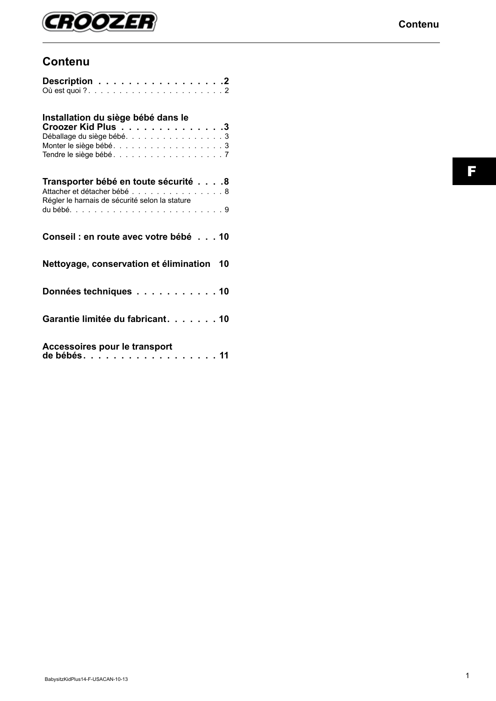

F

# **Contenu**

| Description 2                                                                                                                          |
|----------------------------------------------------------------------------------------------------------------------------------------|
| Installation du siège bébé dans le<br>Croozer Kid Plus 3<br>Déballage du siège bébé3<br>Monter le siège bébé3<br>Tendre le siège bébé7 |
| Transporter bébé en toute sécurité8<br>Attacher et détacher bébé8<br>Régler le harnais de sécurité selon la stature                    |
| Conseil : en route avec votre bébé 10                                                                                                  |
| Nettoyage, conservation et élimination 10                                                                                              |
| Données techniques 10                                                                                                                  |
| Garantie limitée du fabricant. 10                                                                                                      |
| <b>Accessoires pour le transport</b><br>de bébés. 11                                                                                   |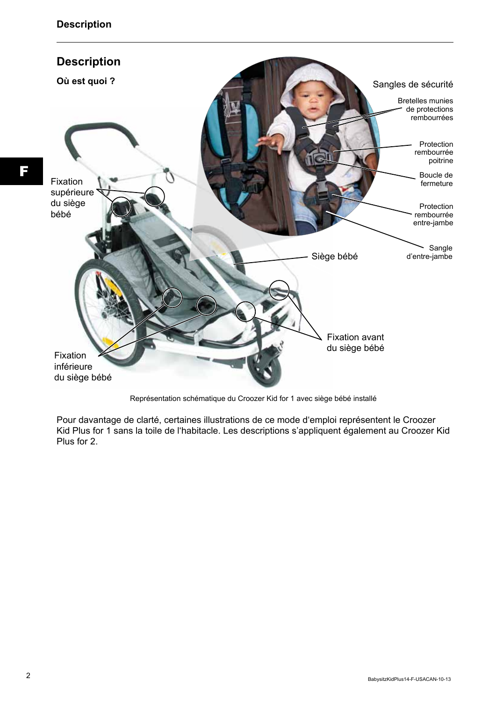

Représentation schématique du Croozer Kid for 1 avec siège bébé installé

Pour davantage de clarté, certaines illustrations de ce mode d'emploi représentent le Croozer Kid Plus for 1 sans la toile de l'habitacle. Les descriptions s'appliquent également au Croozer Kid Plus for 2.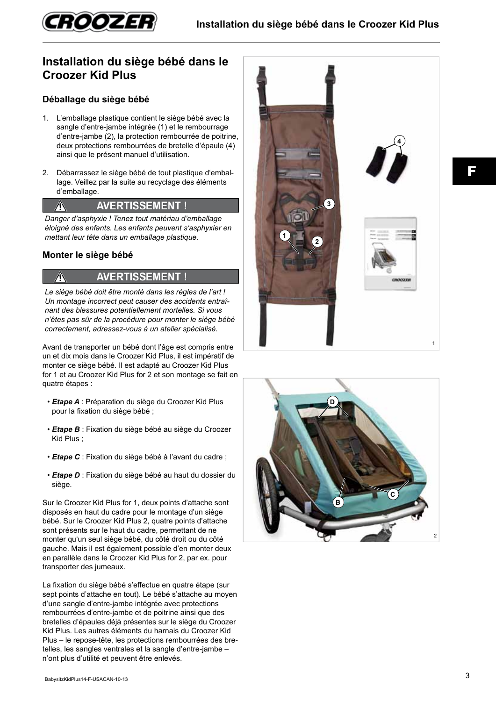

# **Installation du siège bébé dans le Croozer Kid Plus**

#### **Déballage du siège bébé**

- 1. L'emballage plastique contient le siège bébé avec la sangle d'entre-jambe intégrée (1) et le rembourrage d'entre-jambe (2), la protection rembourrée de poitrine, deux protections rembourrées de bretelle d'épaule (4) ainsi que le présent manuel d'utilisation.
- 2. Débarrassez le siège bébé de tout plastique d'emballage. Veillez par la suite au recyclage des éléments d'emballage.

#### **AVERTISSEMENT!**  $\bigwedge$

*Danger d'asphyxie ! Tenez tout matériau d'emballage éloigné des enfants. Les enfants peuvent s'asphyxier en mettant leur tête dans un emballage plastique.*

#### **Monter le siège bébé**

 $\bigwedge$ 

### **AVERTISSEMENT!**

*Le siège bébé doit être monté dans les règles de l'art ! Un montage incorrect peut causer des accidents entraînant des blessures potentiellement mortelles. Si vous n'êtes pas sûr de la procédure pour monter le siège bébé correctement, adressez-vous à un atelier spécialisé.*

Avant de transporter un bébé dont l'âge est compris entre un et dix mois dans le Croozer Kid Plus, il est impératif de monter ce siège bébé. Il est adapté au Croozer Kid Plus for 1 et au Croozer Kid Plus for 2 et son montage se fait en quatre étapes :

- *Etape A* : Préparation du siège du Croozer Kid Plus pour la fixation du siège bébé ;
- *Etape B* : Fixation du siège bébé au siège du Croozer Kid Plus ;
- *Etape C* : Fixation du siège bébé à l'avant du cadre ;
- *Etape D* : Fixation du siège bébé au haut du dossier du siège.

Sur le Croozer Kid Plus for 1, deux points d'attache sont disposés en haut du cadre pour le montage d'un siège bébé. Sur le Croozer Kid Plus 2, quatre points d'attache sont présents sur le haut du cadre, permettant de ne monter qu'un seul siège bébé, du côté droit ou du côté gauche. Mais il est également possible d'en monter deux en parallèle dans le Croozer Kid Plus for 2, par ex. pour transporter des jumeaux.

La fixation du siège bébé s'effectue en quatre étape (sur sept points d'attache en tout). Le bébé s'attache au moyen d'une sangle d'entre-jambe intégrée avec protections rembourrées d'entre-jambe et de poitrine ainsi que des bretelles d'épaules déjà présentes sur le siège du Croozer Kid Plus. Les autres éléments du harnais du Croozer Kid Plus – le repose-tête, les protections rembourrées des bretelles, les sangles ventrales et la sangle d'entre-jambe – n'ont plus d'utilité et peuvent être enlevés.





F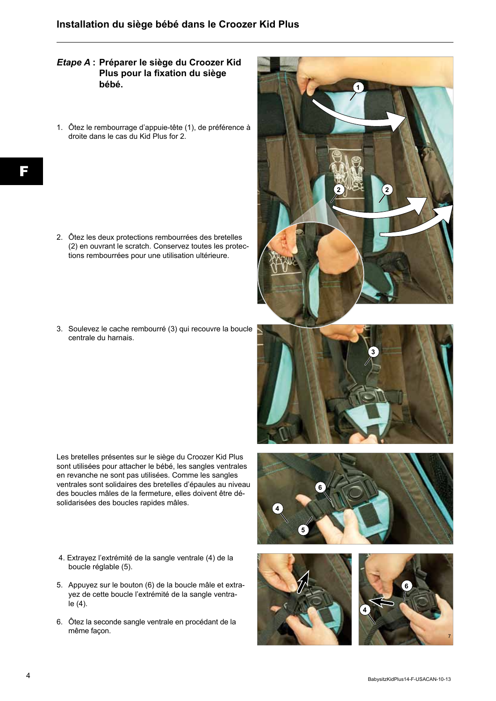#### *Etape A* **: Préparer le siège du Croozer Kid Plus pour la fixation du siège bébé.**

1. Ôtez le rembourrage d'appuie-tête (1), de préférence à droite dans le cas du Kid Plus for 2.

2. Ôtez les deux protections rembourrées des bretelles (2) en ouvrant le scratch. Conservez toutes les protec-

3. Soulevez le cache rembourré (3) qui recouvre la boucle centrale du harnais.

tions rembourrées pour une utilisation ultérieure.

Les bretelles présentes sur le siège du Croozer Kid Plus sont utilisées pour attacher le bébé, les sangles ventrales en revanche ne sont pas utilisées. Comme les sangles ventrales sont solidaires des bretelles d'épaules au niveau des boucles mâles de la fermeture, elles doivent être désolidarisées des boucles rapides mâles.

- 4. Extrayez l'extrémité de la sangle ventrale (4) de la boucle réglable (5).
- 5. Appuyez sur le bouton (6) de la boucle mâle et extrayez de cette boucle l'extrémité de la sangle ventrale (4).
- 6. Ôtez la seconde sangle ventrale en procédant de la même façon.









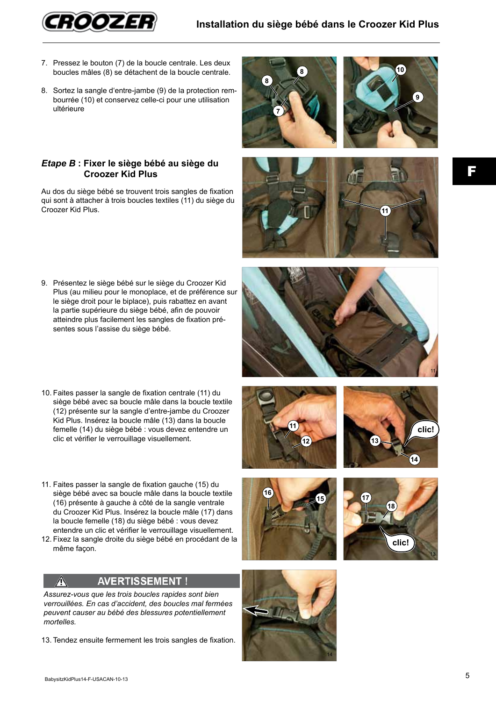

- 7. Pressez le bouton (7) de la boucle centrale. Les deux boucles mâles (8) se détachent de la boucle centrale.
- 8. Sortez la sangle d'entre-jambe (9) de la protection rembourrée (10) et conservez celle-ci pour une utilisation ultérieure

#### *Etape B* **: Fixer le siège bébé au siège du Croozer Kid Plus**

Au dos du siège bébé se trouvent trois sangles de fixation qui sont à attacher à trois boucles textiles (11) du siège du Croozer Kid Plus.







9. Présentez le siège bébé sur le siège du Croozer Kid Plus (au milieu pour le monoplace, et de préférence sur le siège droit pour le biplace), puis rabattez en avant la partie supérieure du siège bébé, afin de pouvoir atteindre plus facilement les sangles de fixation présentes sous l'assise du siège bébé.



- 10. Faites passer la sangle de fixation centrale (11) du siège bébé avec sa boucle mâle dans la boucle textile (12) présente sur la sangle d'entre-jambe du Croozer Kid Plus. Insérez la boucle mâle (13) dans la boucle femelle (14) du siège bébé : vous devez entendre un clic et vérifier le verrouillage visuellement.
- 11. Faites passer la sangle de fixation gauche (15) du siège bébé avec sa boucle mâle dans la boucle textile (16) présente à gauche à côté de la sangle ventrale du Croozer Kid Plus. Insérez la boucle mâle (17) dans la boucle femelle (18) du siège bébé : vous devez entendre un clic et vérifier le verrouillage visuellement.
- 12. Fixez la sangle droite du siège bébé en procédant de la même façon.

### **AVERTISSEMENT!**

*Assurez-vous que les trois boucles rapides sont bien verrouillées. En cas d'accident, des boucles mal fermées peuvent causer au bébé des blessures potentiellement mortelles.*

13. Tendez ensuite fermement les trois sangles de fixation.











 $\Lambda$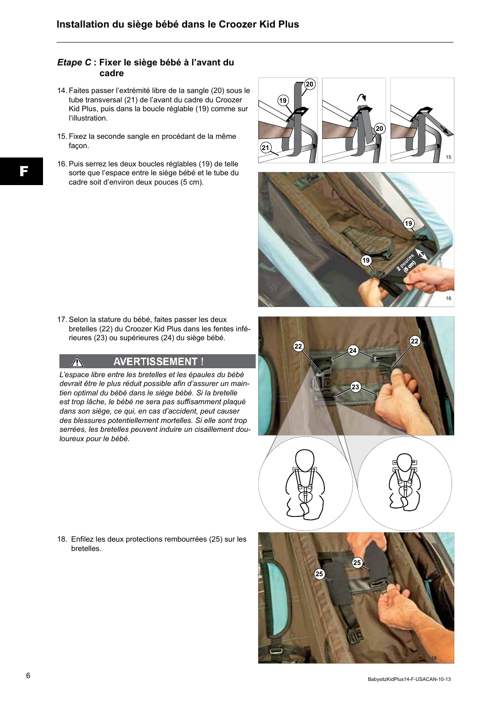#### *Etape C* **: Fixer le siège bébé à l'avant du cadre**

- 14. Faites passer l'extrémité libre de la sangle (20) sous le tube transversal (21) de l'avant du cadre du Croozer Kid Plus, puis dans la boucle réglable (19) comme sur l'illustration.
- 15. Fixez la seconde sangle en procédant de la même façon.
- 16. Puis serrez les deux boucles réglables (19) de telle sorte que l'espace entre le siège bébé et le tube du cadre soit d'environ deux pouces (5 cm).





17. Selon la stature du bébé, faites passer les deux bretelles (22) du Croozer Kid Plus dans les fentes inférieures (23) ou supérieures (24) du siège bébé.

## **AVERTISSEMENT!**

*L'espace libre entre les bretelles et les épaules du bébé devrait être le plus réduit possible afin d'assurer un maintien optimal du bébé dans le siège bébé. Si la bretelle est trop lâche, le bébé ne sera pas suffisamment plaqué dans son siège, ce qui, en cas d'accident, peut causer des blessures potentiellement mortelles. Si elle sont trop serrées, les bretelles peuvent induire un cisaillement douloureux pour le bébé.*







- - 18. Enfilez les deux protections rembourrées (25) sur les bretelles.

 $\Lambda$ 

F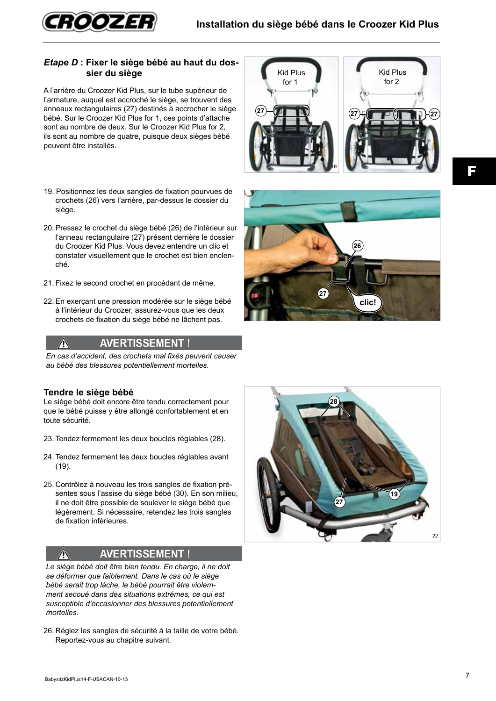

#### *Etape D* **: Fixer le siège bébé au haut du dossier du siège**

A l'arrière du Croozer Kid Plus, sur le tube supérieur de l'armature, auquel est accroché le siège, se trouvent des anneaux rectangulaires (27) destinés à accrocher le siège bébé. Sur le Croozer Kid Plus for 1, ces points d'attache sont au nombre de deux. Sur le Croozer Kid Plus for 2, ils sont au nombre de quatre, puisque deux sièges bébé peuvent être installés.

- 19. Positionnez les deux sangles de fixation pourvues de crochets (26) vers l'arrière, par-dessus le dossier du siège.
- 20. Pressez le crochet du siège bébé (26) de l'intérieur sur l'anneau rectangulaire (27) présent derrière le dossier du Croozer Kid Plus. Vous devez entendre un clic et constater visuellement que le crochet est bien enclenché.
- 21. Fixez le second crochet en procédant de même.
- 22. En exerçant une pression modérée sur le siège bébé à l'intérieur du Croozer, assurez-vous que les deux crochets de fixation du siège bébé ne lâchent pas.



*En cas d'accident, des crochets mal fixés peuvent causer au bébé des blessures potentiellement mortelles.*

#### **Tendre le siège bébé**

/!\

 $\Lambda$ 

Le siège bébé doit encore être tendu correctement pour que le bébé puisse y être allongé confortablement et en toute sécurité.

- 23. Tendez fermement les deux boucles réglables (28).
- 24. Tendez fermement les deux boucles réglables avant (19).
- 25. Contrôlez à nouveau les trois sangles de fixation présentes sous l'assise du siège bébé (30). En son milieu, il ne doit être possible de soulever le siège bébé que légèrement. Si nécessaire, retendez les trois sangles de fixation inférieures.

## **AVERTISSEMENT!**

*Le siège bébé doit être bien tendu. En charge, il ne doit se déformer que faiblement. Dans le cas où le siège bébé serait trop lâche, le bébé pourrait être violemment secoué dans des situations extrêmes, ce qui est susceptible d'occasionner des blessures potentiellement mortelles.*

26. Réglez les sangles de sécurité à la taille de votre bébé. Reportez-vous au chapitre suivant.





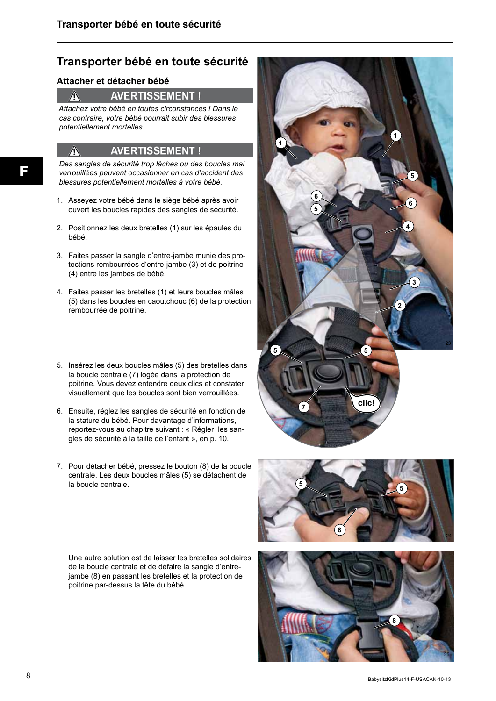### **Transporter bébé en toute sécurité**

#### **Attacher et détacher bébé**

 $\sqrt{N}$ 

### **AVERTISSEMENT!**

*Attachez votre bébé en toutes circonstances ! Dans le cas contraire, votre bébé pourrait subir des blessures potentiellement mortelles.* 

### **AVERTISSEMENT!**

*Des sangles de sécurité trop lâches ou des boucles mal verrouillées peuvent occasionner en cas d'accident des blessures potentiellement mortelles à votre bébé.*

- 1. Asseyez votre bébé dans le siège bébé après avoir ouvert les boucles rapides des sangles de sécurité.
- 2. Positionnez les deux bretelles (1) sur les épaules du bébé.
- 3. Faites passer la sangle d'entre-jambe munie des protections rembourrées d'entre-jambe (3) et de poitrine (4) entre les jambes de bébé.
- 4. Faites passer les bretelles (1) et leurs boucles mâles (5) dans les boucles en caoutchouc (6) de la protection rembourrée de poitrine.
- 5. Insérez les deux boucles mâles (5) des bretelles dans la boucle centrale (7) logée dans la protection de poitrine. Vous devez entendre deux clics et constater visuellement que les boucles sont bien verrouillées.
- 6. Ensuite, réglez les sangles de sécurité en fonction de la stature du bébé. Pour davantage d'informations, reportez-vous au chapitre suivant : « Régler les sangles de sécurité à la taille de l'enfant », en p. 10.
- 7. Pour détacher bébé, pressez le bouton (8) de la boucle centrale. Les deux boucles mâles (5) se détachent de la boucle centrale.

 Une autre solution est de laisser les bretelles solidaires de la boucle centrale et de défaire la sangle d'entrejambe (8) en passant les bretelles et la protection de poitrine par-dessus la tête du bébé.







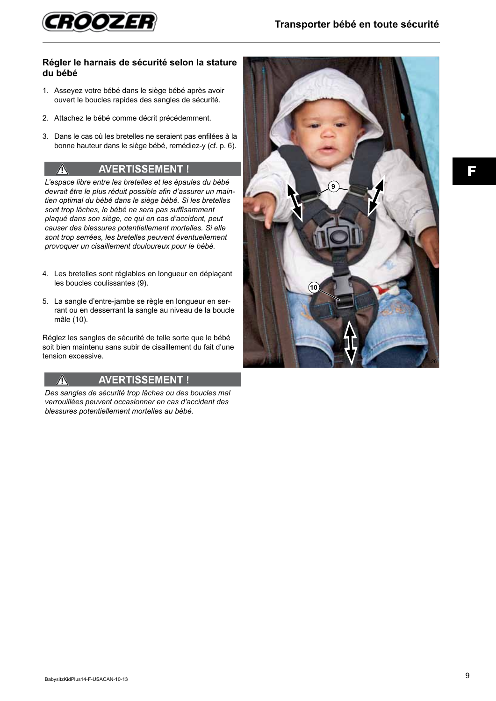

 $\sqrt{N}$ 

#### **Régler le harnais de sécurité selon la stature du bébé**

- 1. Asseyez votre bébé dans le siège bébé après avoir ouvert le boucles rapides des sangles de sécurité.
- 2. Attachez le bébé comme décrit précédemment.
- 3. Dans le cas où les bretelles ne seraient pas enfilées à la bonne hauteur dans le siège bébé, remédiez-y (cf. p. 6).

### **AVERTISSEMENT!**

*L'espace libre entre les bretelles et les épaules du bébé devrait être le plus réduit possible afin d'assurer un maintien optimal du bébé dans le siège bébé. Si les bretelles sont trop lâches, le bébé ne sera pas suffisamment plaqué dans son siège, ce qui en cas d'accident, peut causer des blessures potentiellement mortelles. Si elle sont trop serrées, les bretelles peuvent éventuellement provoquer un cisaillement douloureux pour le bébé.*

- 4. Les bretelles sont réglables en longueur en déplaçant les boucles coulissantes (9).
- 5. La sangle d'entre-jambe se règle en longueur en serrant ou en desserrant la sangle au niveau de la boucle mâle (10).

Réglez les sangles de sécurité de telle sorte que le bébé soit bien maintenu sans subir de cisaillement du fait d'une tension excessive.

#### **AVERTISSEMENT!**  $\Lambda$

*Des sangles de sécurité trop lâches ou des boucles mal verrouillées peuvent occasionner en cas d'accident des blessures potentiellement mortelles au bébé.*

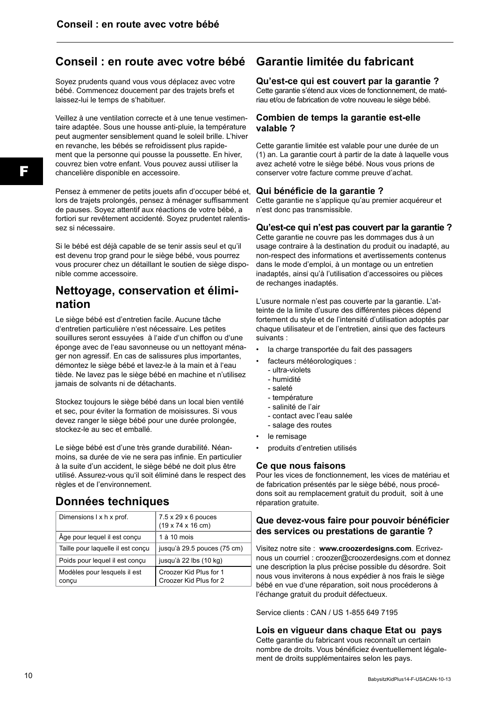### **Conseil : en route avec votre bébé**

Soyez prudents quand vous vous déplacez avec votre bébé. Commencez doucement par des trajets brefs et laissez-lui le temps de s'habituer.

Veillez à une ventilation correcte et à une tenue vestimentaire adaptée. Sous une housse anti-pluie, la température peut augmenter sensiblement quand le soleil brille. L'hiver en revanche, les bébés se refroidissent plus rapidement que la personne qui pousse la poussette. En hiver, couvrez bien votre enfant. Vous pouvez aussi utiliser la chancelière disponible en accessoire.

Pensez à emmener de petits jouets afin d'occuper bébé et, lors de trajets prolongés, pensez à ménager suffisamment de pauses. Soyez attentif aux réactions de votre bébé, a fortiori sur revêtement accidenté. Soyez prudentet ralentissez si nécessaire.

Si le bébé est déjà capable de se tenir assis seul et qu'il est devenu trop grand pour le siège bébé, vous pourrez vous procurer chez un détaillant le soutien de siège disponible comme accessoire.

# **Nettoyage, conservation et élimination**

Le siège bébé est d'entretien facile. Aucune tâche d'entretien particulière n'est nécessaire. Les petites souillures seront essuyées à l'aide d'un chiffon ou d'une éponge avec de l'eau savonneuse ou un nettoyant ménager non agressif. En cas de salissures plus importantes, démontez le siège bébé et lavez-le à la main et à l'eau tiède. Ne lavez pas le siège bébé en machine et n'utilisez jamais de solvants ni de détachants.

Stockez toujours le siège bébé dans un local bien ventilé et sec, pour éviter la formation de moisissures. Si vous devez ranger le siège bébé pour une durée prolongée, stockez-le au sec et emballé.

Le siège bébé est d'une très grande durabilité. Néanmoins, sa durée de vie ne sera pas infinie. En particulier à la suite d'un accident, le siège bébé ne doit plus être utilisé. Assurez-vous qu'il soit éliminé dans le respect des règles et de l'environnement.

# **Données techniques**

| Dimensions I x h x prof.              | 7.5 x 29 x 6 pouces<br>$(19 \times 74 \times 16 \text{ cm})$ |
|---------------------------------------|--------------------------------------------------------------|
| Age pour lequel il est conçu          | 1 $\land$ 10 mois                                            |
| Taille pour laquelle il est conçu     | jusqu'à 29.5 pouces (75 cm)                                  |
| Poids pour lequel il est conçu        | jusqu'à 22 lbs (10 kg)                                       |
| Modèles pour lesquels il est<br>conçu | Croozer Kid Plus for 1<br>Croozer Kid Plus for 2             |

## **Garantie limitée du fabricant**

#### **Qu'est-ce qui est couvert par la garantie ?**

Cette garantie s'étend aux vices de fonctionnement, de matériau et/ou de fabrication de votre nouveau le siège bébé.

#### **Combien de temps la garantie est-elle valable ?**

Cette garantie limitée est valable pour une durée de un (1) an. La garantie court à partir de la date à laquelle vous avez acheté votre le siège bébé. Nous vous prions de conserver votre facture comme preuve d'achat.

#### **Qui bénéficie de la garantie ?**

Cette garantie ne s'applique qu'au premier acquéreur et n'est donc pas transmissible.

#### **Qu'est-ce qui n'est pas couvert par la garantie ?**

Cette garantie ne couvre pas les dommages dus à un usage contraire à la destination du produit ou inadapté, au non-respect des informations et avertissements contenus dans le mode d'emploi, à un montage ou un entretien inadaptés, ainsi qu'à l'utilisation d'accessoires ou pièces de rechanges inadaptés.

L'usure normale n'est pas couverte par la garantie. L'atteinte de la limite d'usure des différentes pièces dépend fortement du style et de l'intensité d'utilisation adoptés par chaque utilisateur et de l'entretien, ainsi que des facteurs suivants :

- la charge transportée du fait des passagers
	- facteurs météorologiques :
	- ultra-violets
	- humidité
	- saleté
	- température
	- salinité de l'air
	- contact avec l'eau salée
	- salage des routes
- le remisage
- produits d'entretien utilisés

#### **Ce que nous faisons**

Pour les vices de fonctionnement, les vices de matériau et de fabrication présentés par le siège bébé, nous procédons soit au remplacement gratuit du produit, soit à une réparation gratuite.

#### **Que devez-vous faire pour pouvoir bénéficier des services ou prestations de garantie ?**

Visitez notre site : **www.croozerdesigns.com**. Ecriveznous un courriel : croozer@croozerdesigns.com et donnez une description la plus précise possible du désordre. Soit nous vous inviterons à nous expédier à nos frais le siège bébé en vue d'une réparation, soit nous procéderons à l'échange gratuit du produit défectueux.

Service clients : CAN / US 1-855 649 7195

#### **Lois en vigueur dans chaque Etat ou pays**

Cette garantie du fabricant vous reconnaît un certain nombre de droits. Vous bénéficiez éventuellement légalement de droits supplémentaires selon les pays.

F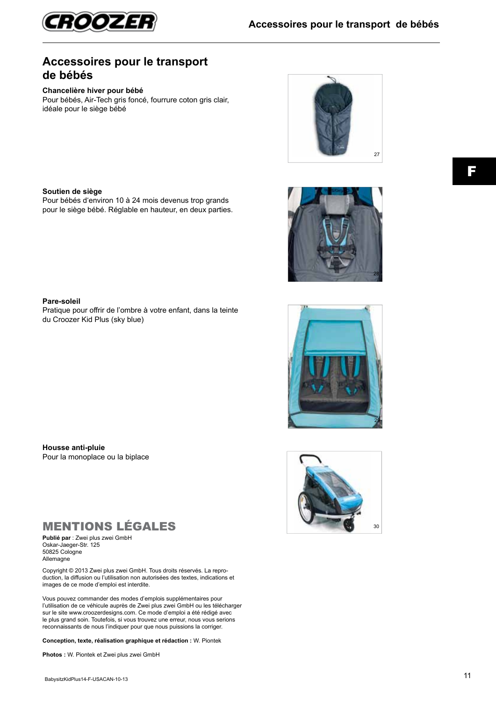

## **Accessoires pour le transport de bébés**

#### **Chancelière hiver pour bébé**

Pour bébés, Air-Tech gris foncé, fourrure coton gris clair, idéale pour le siège bébé



#### **Soutien de siège**

Pour bébés d'environ 10 à 24 mois devenus trop grands pour le siège bébé. Réglable en hauteur, en deux parties.



Pratique pour offrir de l'ombre à votre enfant, dans la teinte du Croozer Kid Plus (sky blue)

**Housse anti-pluie** Pour la monoplace ou la biplace

# MENTIONS LÉGALES

**Publié par** : Zwei plus zwei GmbH Oskar-Jaeger-Str. 125 50825 Cologne Allemagne

Copyright © 2013 Zwei plus zwei GmbH. Tous droits réservés. La reproduction, la diffusion ou l'utilisation non autorisées des textes, indications et images de ce mode d'emploi est interdite.

Vous pouvez commander des modes d'emplois supplémentaires pour l'utilisation de ce véhicule auprès de Zwei plus zwei GmbH ou les télécharger sur le site www.croozerdesigns.com. Ce mode d'emploi a été rédigé avec le plus grand soin. Toutefois, si vous trouvez une erreur, nous vous serions reconnaissants de nous l'indiquer pour que nous puissions la corriger.

**Conception, texte, réalisation graphique et rédaction :** W. Piontek

**Photos :** W. Piontek et Zwei plus zwei GmbH



28